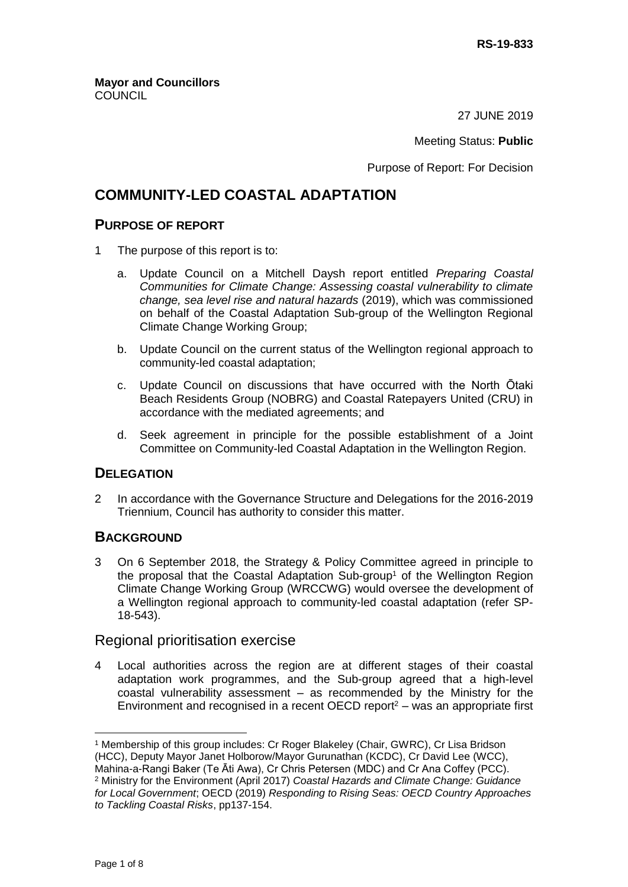27 JUNE 2019

#### Meeting Status: **Public**

Purpose of Report: For Decision

# **COMMUNITY-LED COASTAL ADAPTATION**

## **PURPOSE OF REPORT**

- 1 The purpose of this report is to:
	- a. Update Council on a Mitchell Daysh report entitled *Preparing Coastal Communities for Climate Change: Assessing coastal vulnerability to climate change, sea level rise and natural hazards* (2019), which was commissioned on behalf of the Coastal Adaptation Sub-group of the Wellington Regional Climate Change Working Group;
	- b. Update Council on the current status of the Wellington regional approach to community-led coastal adaptation;
	- c. Update Council on discussions that have occurred with the North Ōtaki Beach Residents Group (NOBRG) and Coastal Ratepayers United (CRU) in accordance with the mediated agreements; and
	- d. Seek agreement in principle for the possible establishment of a Joint Committee on Community-led Coastal Adaptation in the Wellington Region.

## **DELEGATION**

2 In accordance with the Governance Structure and Delegations for the 2016-2019 Triennium, Council has authority to consider this matter.

## **BACKGROUND**

3 On 6 September 2018, the Strategy & Policy Committee agreed in principle to the proposal that the Coastal Adaptation Sub-group<sup>1</sup> of the Wellington Region Climate Change Working Group (WRCCWG) would oversee the development of a Wellington regional approach to community-led coastal adaptation (refer SP-18-543).

## Regional prioritisation exercise

4 Local authorities across the region are at different stages of their coastal adaptation work programmes, and the Sub-group agreed that a high-level coastal vulnerability assessment – as recommended by the Ministry for the Environment and recognised in a recent OECD report<sup>2</sup> – was an appropriate first

 <sup>1</sup> Membership of this group includes: Cr Roger Blakeley (Chair, GWRC), Cr Lisa Bridson (HCC), Deputy Mayor Janet Holborow/Mayor Gurunathan (KCDC), Cr David Lee (WCC), Mahina-a-Rangi Baker (Te Āti Awa), Cr Chris Petersen (MDC) and Cr Ana Coffey (PCC).

<sup>2</sup> Ministry for the Environment (April 2017) *Coastal Hazards and Climate Change: Guidance for Local Government*; OECD (2019) *Responding to Rising Seas: OECD Country Approaches to Tackling Coastal Risks*, pp137-154.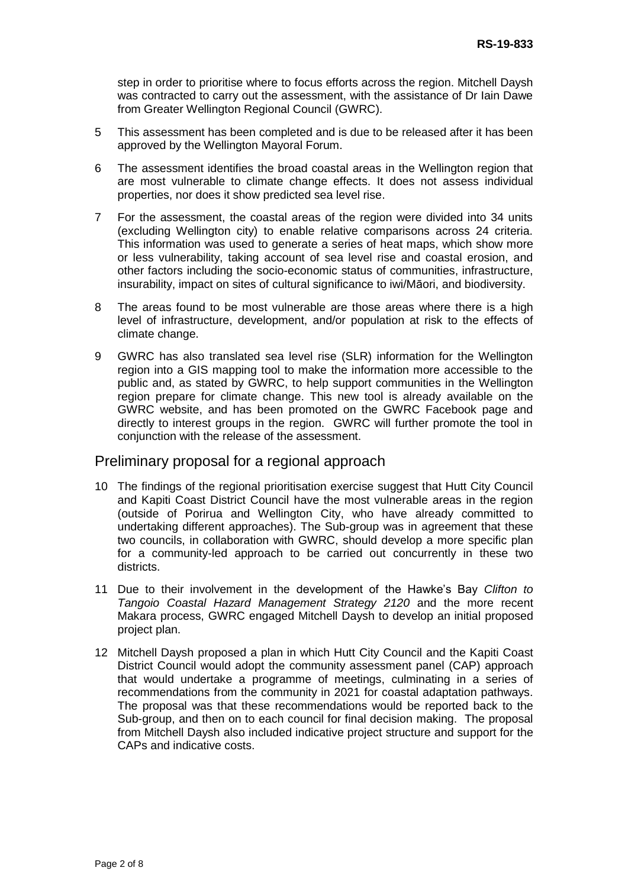step in order to prioritise where to focus efforts across the region. Mitchell Daysh was contracted to carry out the assessment, with the assistance of Dr Iain Dawe from Greater Wellington Regional Council (GWRC).

- 5 This assessment has been completed and is due to be released after it has been approved by the Wellington Mayoral Forum.
- 6 The assessment identifies the broad coastal areas in the Wellington region that are most vulnerable to climate change effects. It does not assess individual properties, nor does it show predicted sea level rise.
- 7 For the assessment, the coastal areas of the region were divided into 34 units (excluding Wellington city) to enable relative comparisons across 24 criteria. This information was used to generate a series of heat maps, which show more or less vulnerability, taking account of sea level rise and coastal erosion, and other factors including the socio-economic status of communities, infrastructure, insurability, impact on sites of cultural significance to iwi/Māori, and biodiversity.
- 8 The areas found to be most vulnerable are those areas where there is a high level of infrastructure, development, and/or population at risk to the effects of climate change.
- 9 GWRC has also translated sea level rise (SLR) information for the Wellington region into a GIS mapping tool to make the information more accessible to the public and, as stated by GWRC, to help support communities in the Wellington region prepare for climate change. This new tool is already available on the GWRC website, and has been promoted on the GWRC Facebook page and directly to interest groups in the region. GWRC will further promote the tool in conjunction with the release of the assessment.

## Preliminary proposal for a regional approach

- 10 The findings of the regional prioritisation exercise suggest that Hutt City Council and Kapiti Coast District Council have the most vulnerable areas in the region (outside of Porirua and Wellington City, who have already committed to undertaking different approaches). The Sub-group was in agreement that these two councils, in collaboration with GWRC, should develop a more specific plan for a community-led approach to be carried out concurrently in these two districts.
- 11 Due to their involvement in the development of the Hawke's Bay *Clifton to Tangoio Coastal Hazard Management Strategy 2120* and the more recent Makara process, GWRC engaged Mitchell Daysh to develop an initial proposed project plan.
- 12 Mitchell Daysh proposed a plan in which Hutt City Council and the Kapiti Coast District Council would adopt the community assessment panel (CAP) approach that would undertake a programme of meetings, culminating in a series of recommendations from the community in 2021 for coastal adaptation pathways. The proposal was that these recommendations would be reported back to the Sub-group, and then on to each council for final decision making. The proposal from Mitchell Daysh also included indicative project structure and support for the CAPs and indicative costs.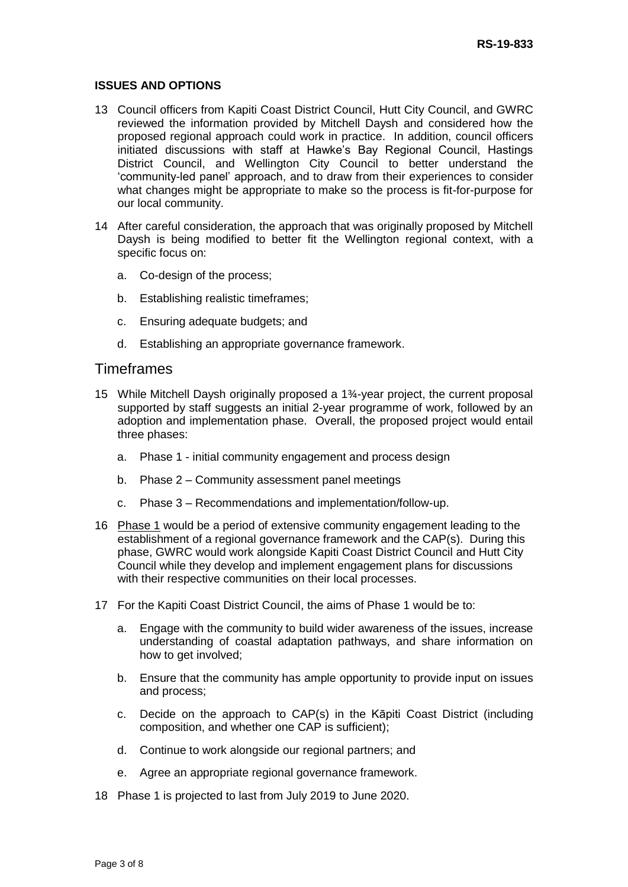#### **ISSUES AND OPTIONS**

- 13 Council officers from Kapiti Coast District Council, Hutt City Council, and GWRC reviewed the information provided by Mitchell Daysh and considered how the proposed regional approach could work in practice. In addition, council officers initiated discussions with staff at Hawke's Bay Regional Council, Hastings District Council, and Wellington City Council to better understand the 'community-led panel' approach, and to draw from their experiences to consider what changes might be appropriate to make so the process is fit-for-purpose for our local community.
- 14 After careful consideration, the approach that was originally proposed by Mitchell Daysh is being modified to better fit the Wellington regional context, with a specific focus on:
	- a. Co-design of the process;
	- b. Establishing realistic timeframes;
	- c. Ensuring adequate budgets; and
	- d. Establishing an appropriate governance framework.

#### **Timeframes**

- 15 While Mitchell Daysh originally proposed a 1¾-year project, the current proposal supported by staff suggests an initial 2-year programme of work, followed by an adoption and implementation phase. Overall, the proposed project would entail three phases:
	- a. Phase 1 initial community engagement and process design
	- b. Phase 2 Community assessment panel meetings
	- c. Phase 3 Recommendations and implementation/follow-up.
- 16 Phase 1 would be a period of extensive community engagement leading to the establishment of a regional governance framework and the CAP(s). During this phase, GWRC would work alongside Kapiti Coast District Council and Hutt City Council while they develop and implement engagement plans for discussions with their respective communities on their local processes.
- 17 For the Kapiti Coast District Council, the aims of Phase 1 would be to:
	- a. Engage with the community to build wider awareness of the issues, increase understanding of coastal adaptation pathways, and share information on how to get involved;
	- b. Ensure that the community has ample opportunity to provide input on issues and process;
	- c. Decide on the approach to CAP(s) in the Kāpiti Coast District (including composition, and whether one CAP is sufficient);
	- d. Continue to work alongside our regional partners; and
	- e. Agree an appropriate regional governance framework.
- 18 Phase 1 is projected to last from July 2019 to June 2020.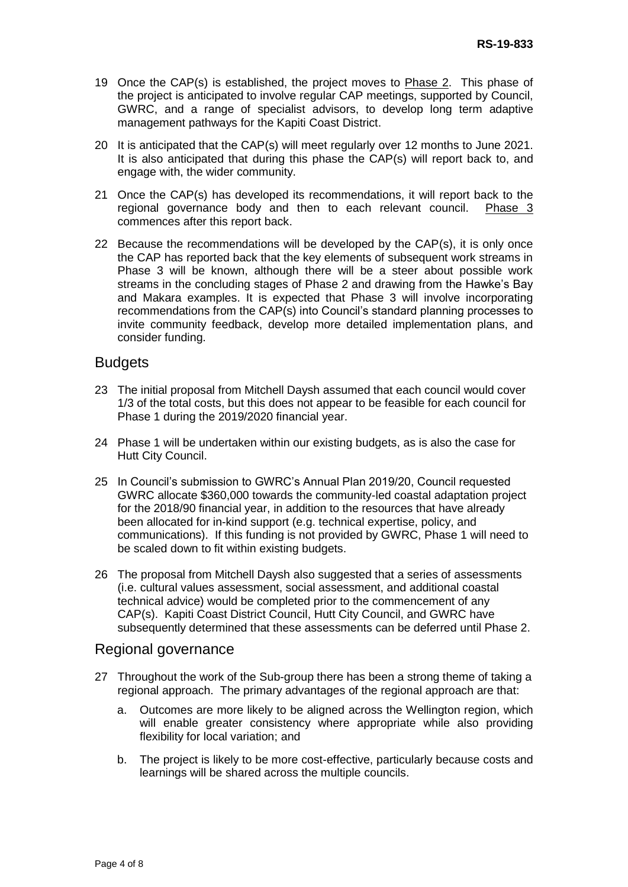- 19 Once the CAP(s) is established, the project moves to Phase 2. This phase of the project is anticipated to involve regular CAP meetings, supported by Council, GWRC, and a range of specialist advisors, to develop long term adaptive management pathways for the Kapiti Coast District.
- 20 It is anticipated that the CAP(s) will meet regularly over 12 months to June 2021. It is also anticipated that during this phase the CAP(s) will report back to, and engage with, the wider community.
- 21 Once the CAP(s) has developed its recommendations, it will report back to the regional governance body and then to each relevant council. Phase 3 commences after this report back.
- 22 Because the recommendations will be developed by the CAP(s), it is only once the CAP has reported back that the key elements of subsequent work streams in Phase 3 will be known, although there will be a steer about possible work streams in the concluding stages of Phase 2 and drawing from the Hawke's Bay and Makara examples. It is expected that Phase 3 will involve incorporating recommendations from the CAP(s) into Council's standard planning processes to invite community feedback, develop more detailed implementation plans, and consider funding.

## **Budgets**

- 23 The initial proposal from Mitchell Daysh assumed that each council would cover 1/3 of the total costs, but this does not appear to be feasible for each council for Phase 1 during the 2019/2020 financial year.
- 24 Phase 1 will be undertaken within our existing budgets, as is also the case for Hutt City Council.
- 25 In Council's submission to GWRC's Annual Plan 2019/20, Council requested GWRC allocate \$360,000 towards the community-led coastal adaptation project for the 2018/90 financial year, in addition to the resources that have already been allocated for in-kind support (e.g. technical expertise, policy, and communications). If this funding is not provided by GWRC, Phase 1 will need to be scaled down to fit within existing budgets.
- 26 The proposal from Mitchell Daysh also suggested that a series of assessments (i.e. cultural values assessment, social assessment, and additional coastal technical advice) would be completed prior to the commencement of any CAP(s). Kapiti Coast District Council, Hutt City Council, and GWRC have subsequently determined that these assessments can be deferred until Phase 2.

#### Regional governance

- 27 Throughout the work of the Sub-group there has been a strong theme of taking a regional approach. The primary advantages of the regional approach are that:
	- a. Outcomes are more likely to be aligned across the Wellington region, which will enable greater consistency where appropriate while also providing flexibility for local variation; and
	- b. The project is likely to be more cost-effective, particularly because costs and learnings will be shared across the multiple councils.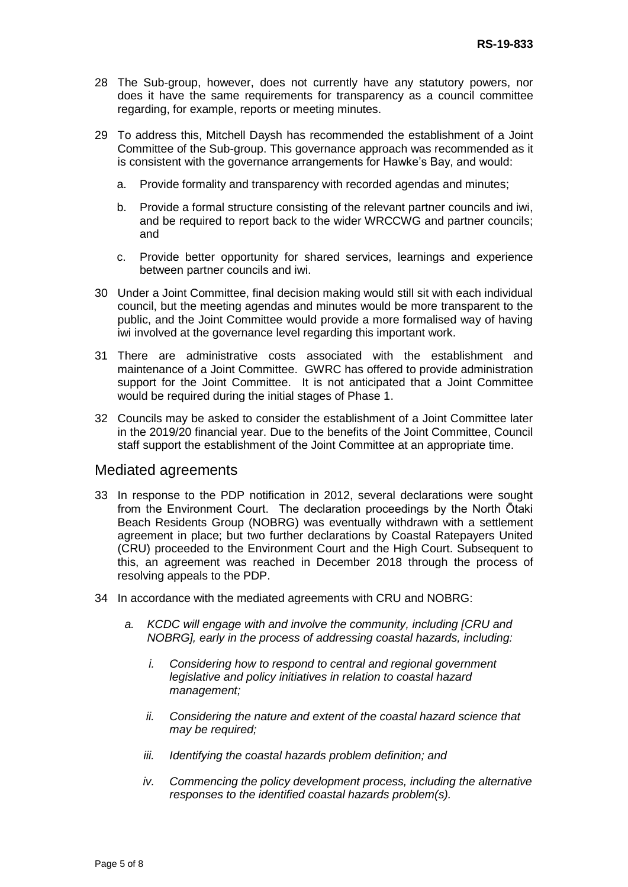- 28 The Sub-group, however, does not currently have any statutory powers, nor does it have the same requirements for transparency as a council committee regarding, for example, reports or meeting minutes.
- 29 To address this, Mitchell Daysh has recommended the establishment of a Joint Committee of the Sub-group. This governance approach was recommended as it is consistent with the governance arrangements for Hawke's Bay, and would:
	- a. Provide formality and transparency with recorded agendas and minutes;
	- b. Provide a formal structure consisting of the relevant partner councils and iwi, and be required to report back to the wider WRCCWG and partner councils; and
	- c. Provide better opportunity for shared services, learnings and experience between partner councils and iwi.
- 30 Under a Joint Committee, final decision making would still sit with each individual council, but the meeting agendas and minutes would be more transparent to the public, and the Joint Committee would provide a more formalised way of having iwi involved at the governance level regarding this important work.
- 31 There are administrative costs associated with the establishment and maintenance of a Joint Committee. GWRC has offered to provide administration support for the Joint Committee. It is not anticipated that a Joint Committee would be required during the initial stages of Phase 1.
- 32 Councils may be asked to consider the establishment of a Joint Committee later in the 2019/20 financial year. Due to the benefits of the Joint Committee, Council staff support the establishment of the Joint Committee at an appropriate time.

## Mediated agreements

- 33 In response to the PDP notification in 2012, several declarations were sought from the Environment Court. The declaration proceedings by the North Ōtaki Beach Residents Group (NOBRG) was eventually withdrawn with a settlement agreement in place; but two further declarations by Coastal Ratepayers United (CRU) proceeded to the Environment Court and the High Court. Subsequent to this, an agreement was reached in December 2018 through the process of resolving appeals to the PDP.
- 34 In accordance with the mediated agreements with CRU and NOBRG:
	- *a. KCDC will engage with and involve the community, including [CRU and NOBRG], early in the process of addressing coastal hazards, including:*
		- *i. Considering how to respond to central and regional government legislative and policy initiatives in relation to coastal hazard management;*
		- *ii. Considering the nature and extent of the coastal hazard science that may be required;*
		- *iii. Identifying the coastal hazards problem definition; and*
		- *iv. Commencing the policy development process, including the alternative responses to the identified coastal hazards problem(s).*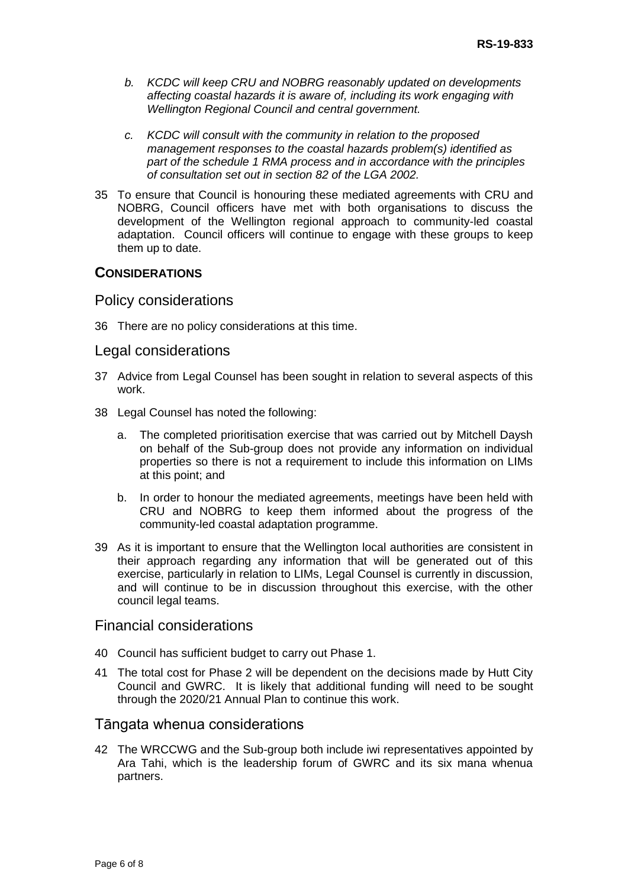- *b. KCDC will keep CRU and NOBRG reasonably updated on developments affecting coastal hazards it is aware of, including its work engaging with Wellington Regional Council and central government.*
- *c. KCDC will consult with the community in relation to the proposed management responses to the coastal hazards problem(s) identified as part of the schedule 1 RMA process and in accordance with the principles of consultation set out in section 82 of the LGA 2002.*
- 35 To ensure that Council is honouring these mediated agreements with CRU and NOBRG, Council officers have met with both organisations to discuss the development of the Wellington regional approach to community-led coastal adaptation. Council officers will continue to engage with these groups to keep them up to date.

## **CONSIDERATIONS**

#### Policy considerations

36 There are no policy considerations at this time.

#### Legal considerations

- 37 Advice from Legal Counsel has been sought in relation to several aspects of this work.
- 38 Legal Counsel has noted the following:
	- a. The completed prioritisation exercise that was carried out by Mitchell Daysh on behalf of the Sub-group does not provide any information on individual properties so there is not a requirement to include this information on LIMs at this point; and
	- b. In order to honour the mediated agreements, meetings have been held with CRU and NOBRG to keep them informed about the progress of the community-led coastal adaptation programme.
- 39 As it is important to ensure that the Wellington local authorities are consistent in their approach regarding any information that will be generated out of this exercise, particularly in relation to LIMs, Legal Counsel is currently in discussion, and will continue to be in discussion throughout this exercise, with the other council legal teams.

## Financial considerations

- 40 Council has sufficient budget to carry out Phase 1.
- 41 The total cost for Phase 2 will be dependent on the decisions made by Hutt City Council and GWRC. It is likely that additional funding will need to be sought through the 2020/21 Annual Plan to continue this work.

#### Tāngata whenua considerations

42 The WRCCWG and the Sub-group both include iwi representatives appointed by Ara Tahi, which is the leadership forum of GWRC and its six mana whenua partners.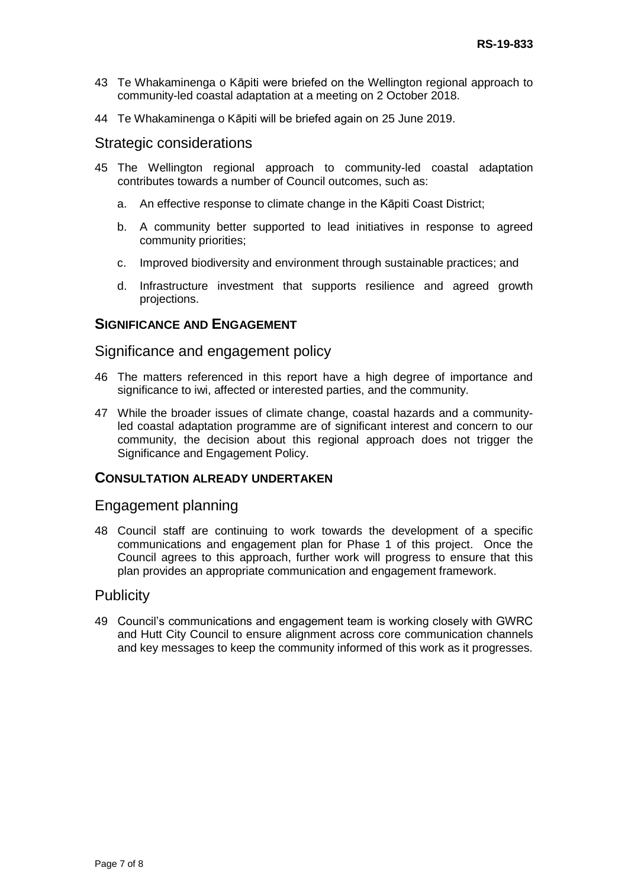- 43 Te Whakaminenga o Kāpiti were briefed on the Wellington regional approach to community-led coastal adaptation at a meeting on 2 October 2018.
- 44 Te Whakaminenga o Kāpiti will be briefed again on 25 June 2019.

#### Strategic considerations

- 45 The Wellington regional approach to community-led coastal adaptation contributes towards a number of Council outcomes, such as:
	- a. An effective response to climate change in the Kāpiti Coast District;
	- b. A community better supported to lead initiatives in response to agreed community priorities;
	- c. Improved biodiversity and environment through sustainable practices; and
	- d. Infrastructure investment that supports resilience and agreed growth projections.

## **SIGNIFICANCE AND ENGAGEMENT**

## Significance and engagement policy

- 46 The matters referenced in this report have a high degree of importance and significance to iwi, affected or interested parties, and the community.
- 47 While the broader issues of climate change, coastal hazards and a communityled coastal adaptation programme are of significant interest and concern to our community, the decision about this regional approach does not trigger the Significance and Engagement Policy.

#### **CONSULTATION ALREADY UNDERTAKEN**

#### Engagement planning

48 Council staff are continuing to work towards the development of a specific communications and engagement plan for Phase 1 of this project. Once the Council agrees to this approach, further work will progress to ensure that this plan provides an appropriate communication and engagement framework.

#### **Publicity**

49 Council's communications and engagement team is working closely with GWRC and Hutt City Council to ensure alignment across core communication channels and key messages to keep the community informed of this work as it progresses.